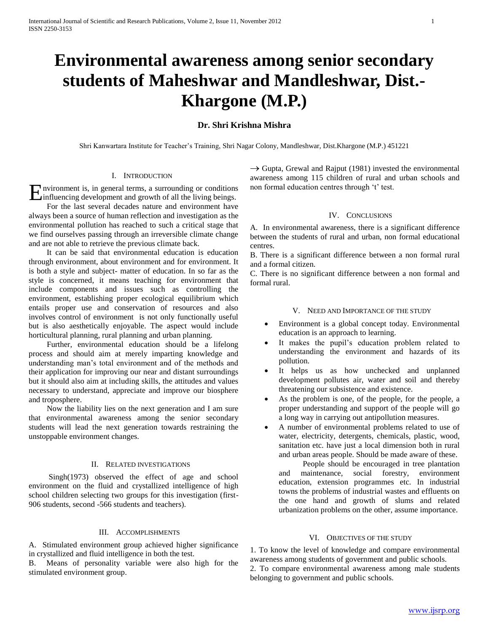# **Environmental awareness among senior secondary students of Maheshwar and Mandleshwar, Dist.- Khargone (M.P.)**

## **Dr. Shri Krishna Mishra**

Shri Kanwartara Institute for Teacher"s Training, Shri Nagar Colony, Mandleshwar, Dist.Khargone (M.P.) 451221

## I. INTRODUCTION

nvironment is, in general terms, a surrounding or conditions **E**nvironment is, in general terms, a surrounding or conditions influencing development and growth of all the living beings.

 For the last several decades nature and environment have always been a source of human reflection and investigation as the environmental pollution has reached to such a critical stage that we find ourselves passing through an irreversible climate change and are not able to retrieve the previous climate back.

 It can be said that environmental education is education through environment, about environment and for environment. It is both a style and subject- matter of education. In so far as the style is concerned, it means teaching for environment that include components and issues such as controlling the environment, establishing proper ecological equilibrium which entails proper use and conservation of resources and also involves control of environment is not only functionally useful but is also aesthetically enjoyable. The aspect would include horticultural planning, rural planning and urban planning.

 Further, environmental education should be a lifelong process and should aim at merely imparting knowledge and understanding man"s total environment and of the methods and their application for improving our near and distant surroundings but it should also aim at including skills, the attitudes and values necessary to understand, appreciate and improve our biosphere and troposphere.

 Now the liability lies on the next generation and I am sure that environmental awareness among the senior secondary students will lead the next generation towards restraining the unstoppable environment changes.

#### II. RELATED INVESTIGATIONS

 Singh(1973) observed the effect of age and school environment on the fluid and crystallized intelligence of high school children selecting two groups for this investigation (first-906 students, second -566 students and teachers).

## III. ACCOMPLISHMENTS

A. Stimulated environment group achieved higher significance in crystallized and fluid intelligence in both the test.

Means of personality variable were also high for the stimulated environment group.

 $\rightarrow$  Gupta, Grewal and Rajput (1981) invested the environmental awareness among 115 children of rural and urban schools and non formal education centres through 't' test.

#### IV. CONCLUSIONS

A. In environmental awareness, there is a significant difference between the students of rural and urban, non formal educational centres.

B. There is a significant difference between a non formal rural and a formal citizen.

C. There is no significant difference between a non formal and formal rural.

#### V. NEED AND IMPORTANCE OF THE STUDY

- Environment is a global concept today. Environmental education is an approach to learning.
- It makes the pupil"s education problem related to understanding the environment and hazards of its pollution.
- It helps us as how unchecked and unplanned development pollutes air, water and soil and thereby threatening our subsistence and existence.
- As the problem is one, of the people, for the people, a proper understanding and support of the people will go a long way in carrying out antipollution measures.
- A number of environmental problems related to use of water, electricity, detergents, chemicals, plastic, wood, sanitation etc. have just a local dimension both in rural and urban areas people. Should be made aware of these.

 People should be encouraged in tree plantation and maintenance, social forestry, environment education, extension programmes etc. In industrial towns the problems of industrial wastes and effluents on the one hand and growth of slums and related urbanization problems on the other, assume importance.

#### VI. OBJECTIVES OF THE STUDY

1. To know the level of knowledge and compare environmental awareness among students of government and public schools. 2. To compare environmental awareness among male students belonging to government and public schools.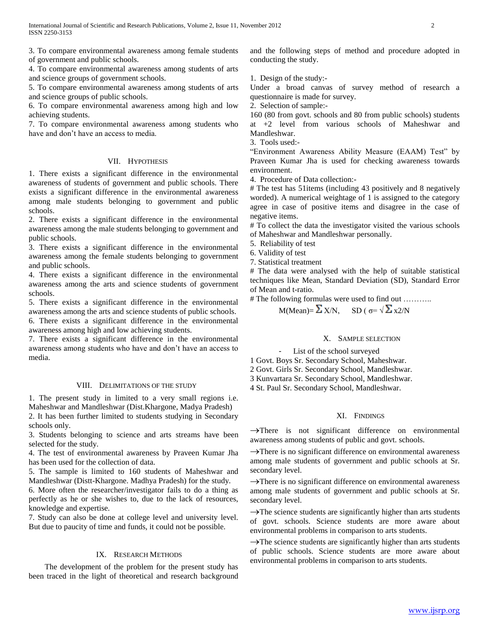3. To compare environmental awareness among female students of government and public schools.

4. To compare environmental awareness among students of arts and science groups of government schools.

5. To compare environmental awareness among students of arts and science groups of public schools.

6. To compare environmental awareness among high and low achieving students.

7. To compare environmental awareness among students who have and don"t have an access to media.

## VII. HYPOTHESIS

1. There exists a significant difference in the environmental awareness of students of government and public schools. There exists a significant difference in the environmental awareness among male students belonging to government and public schools.

2. There exists a significant difference in the environmental awareness among the male students belonging to government and public schools.

3. There exists a significant difference in the environmental awareness among the female students belonging to government and public schools.

4. There exists a significant difference in the environmental awareness among the arts and science students of government schools.

5. There exists a significant difference in the environmental awareness among the arts and science students of public schools. 6. There exists a significant difference in the environmental awareness among high and low achieving students.

7. There exists a significant difference in the environmental awareness among students who have and don"t have an access to media.

#### VIII. DELIMITATIONS OF THE STUDY

1. The present study in limited to a very small regions i.e. Maheshwar and Mandleshwar (Dist.Khargone, Madya Pradesh)

2. It has been further limited to students studying in Secondary schools only.

3. Students belonging to science and arts streams have been selected for the study.

4. The test of environmental awareness by Praveen Kumar Jha has been used for the collection of data.

5. The sample is limited to 160 students of Maheshwar and Mandleshwar (Distt-Khargone. Madhya Pradesh) for the study.

6. More often the researcher/investigator fails to do a thing as perfectly as he or she wishes to, due to the lack of resources, knowledge and expertise.

7. Study can also be done at college level and university level. But due to paucity of time and funds, it could not be possible.

## IX. RESEARCH METHODS

 The development of the problem for the present study has been traced in the light of theoretical and research background and the following steps of method and procedure adopted in conducting the study.

1. Design of the study:-

Under a broad canvas of survey method of research a questionnaire is made for survey.

2. Selection of sample:-

160 (80 from govt. schools and 80 from public schools) students at +2 level from various schools of Maheshwar and Mandleshwar.

3. Tools used:-

"Environment Awareness Ability Measure (EAAM) Test" by Praveen Kumar Jha is used for checking awareness towards environment.

4. Procedure of Data collection:-

# The test has 51items (including 43 positively and 8 negatively worded). A numerical weightage of 1 is assigned to the category agree in case of positive items and disagree in the case of negative items.

# To collect the data the investigator visited the various schools of Maheshwar and Mandleshwar personally.

5. Reliability of test

6. Validity of test

7. Statistical treatment

# The data were analysed with the help of suitable statistical techniques like Mean, Standard Deviation (SD), Standard Error of Mean and t-ratio.

# The following formulas were used to find out ………..

$$
M(Mean) = \sum X/N, \quad SD(\sigma = \sqrt{\sum x2/N})
$$

## X. SAMPLE SELECTION

## List of the school surveyed

1 Govt. Boys Sr. Secondary School, Maheshwar.

2 Govt. Girls Sr. Secondary School, Mandleshwar.

3 Kunvartara Sr. Secondary School, Mandleshwar.

4 St. Paul Sr. Secondary School, Mandleshwar.

## XI. FINDINGS

 $\rightarrow$ There is not significant difference on environmental awareness among students of public and govt. schools.

 $\rightarrow$ There is no significant difference on environmental awareness among male students of government and public schools at Sr. secondary level.

 $\rightarrow$ There is no significant difference on environmental awareness among male students of government and public schools at Sr. secondary level.

 $\rightarrow$ The science students are significantly higher than arts students of govt. schools. Science students are more aware about environmental problems in comparison to arts students.

 $\rightarrow$ The science students are significantly higher than arts students of public schools. Science students are more aware about environmental problems in comparison to arts students.